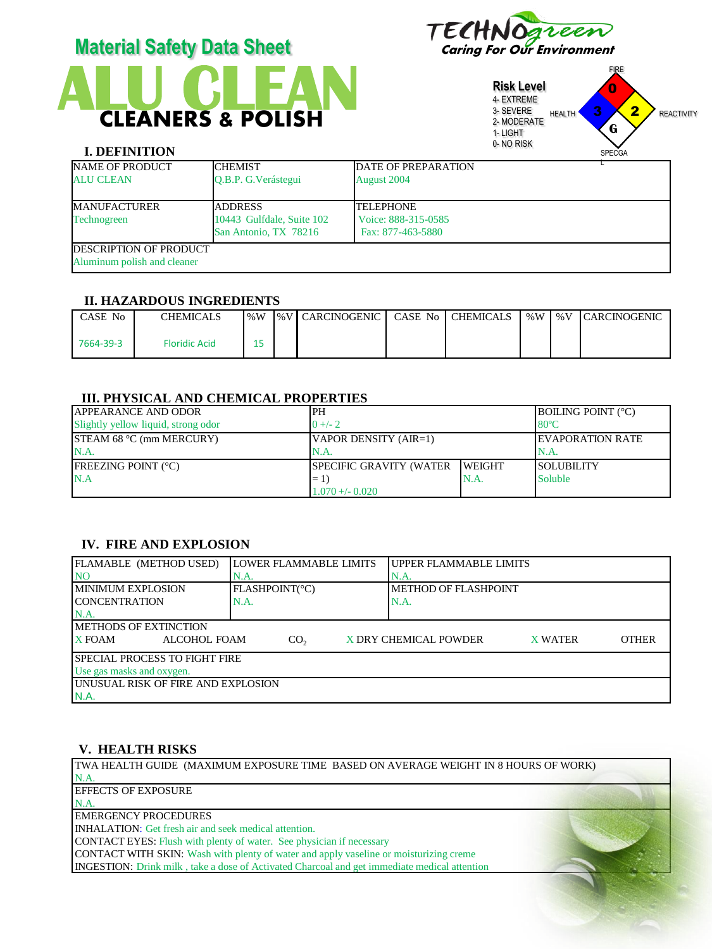

# **CLEANERS & POLISH Material Safety Data Sheet** Caring For Our Environment

**Risk Level** 4- EXTREME 3- SEVERE 2- MODERATE 1- LIGHT 0- NO RISK FIRE HEALTH **3 4 2** REACTIVITY SPECGA 3 0 2 **G**

# **I. DEFINITION**

| NAME OF PRODUCT                | <b>CHEMIST</b>            | <b>DATE OF PREPARATION</b> |  |
|--------------------------------|---------------------------|----------------------------|--|
| <b>ALU CLEAN</b>               | O.B.P. G. Verástegui      | August 2004                |  |
| <b>MANUFACTURER</b>            | <b>ADDRESS</b>            | <b>TELEPHONE</b>           |  |
| <b>Technogreen</b>             | 10443 Gulfdale, Suite 102 | Voice: 888-315-0585        |  |
|                                | San Antonio, TX 78216     | Fax: 877-463-5880          |  |
| <b>IDESCRIPTION OF PRODUCT</b> |                           |                            |  |
| Aluminum polish and cleaner    |                           |                            |  |

#### **II. HAZARDOUS INGREDIENTS**

| CASE No   | CHEMICALS     | $\frac{9}{6}W$ | I%V   CARCINOGENIC | CASE No | <b>CHEMICALS</b> | % $W$ | % $V$ | <b>ICARCINOGENIC</b> |
|-----------|---------------|----------------|--------------------|---------|------------------|-------|-------|----------------------|
| 7664-39-3 | Floridic Acid |                |                    |         |                  |       |       |                      |

## **III. PHYSICAL AND CHEMICAL PROPERTIES**

| <b>APPEARANCE AND ODOR</b>          | 'PH                            |                | <b>BOILING POINT (°C)</b> |
|-------------------------------------|--------------------------------|----------------|---------------------------|
| Slightly yellow liquid, strong odor | $0 + 2$                        |                | $-80^{\circ}$ C           |
| <b>STEAM 68 °C (mm MERCURY)</b>     | VAPOR DENSITY (AIR=1)          |                | <b>IEVAPORATION RATE</b>  |
| N.A.                                |                                |                | IN.A.                     |
| <b>IFREEZING POINT (°C)</b>         | <b>SPECIFIC GRAVITY (WATER</b> | <b>IWEIGHT</b> | <b>SOLUBILITY</b>         |
| N.A                                 | $= 1$                          | N.A.           | Soluble                   |
|                                     | $1.070 + -0.020$               |                |                           |

## **IV. FIRE AND EXPLOSION**

| FLAMABLE (METHOD USED)                                                                        | <b>LOWER FLAMMABLE LIMITS</b> | UPPER FLAMMABLE LIMITS      |  |  |  |
|-----------------------------------------------------------------------------------------------|-------------------------------|-----------------------------|--|--|--|
| <b>NO</b>                                                                                     | N.A                           | N.A                         |  |  |  |
| <b>IMINIMUM EXPLOSION</b>                                                                     | <b>FLASHPOINT(°C)</b>         | <b>METHOD OF FLASHPOINT</b> |  |  |  |
| <b>ICONCENTRATION</b>                                                                         | N.A.                          | N.A                         |  |  |  |
| $NA$ .                                                                                        |                               |                             |  |  |  |
| <b>IMETHODS OF EXTINCTION</b>                                                                 |                               |                             |  |  |  |
| X FOAM<br>ALCOHOL FOAM<br>X DRY CHEMICAL POWDER<br><b>OTHER</b><br>CO <sub>2</sub><br>X WATER |                               |                             |  |  |  |
| I SPECIAL PROCESS TO FIGHT FIRE                                                               |                               |                             |  |  |  |
| Use gas masks and oxygen.                                                                     |                               |                             |  |  |  |
| UNUSUAL RISK OF FIRE AND EXPLOSION                                                            |                               |                             |  |  |  |
| IN.A.                                                                                         |                               |                             |  |  |  |

# **V. HEALTH RISKS**

TWA HEALTH GUIDE (MAXIMUM EXPOSURE TIME BASED ON AVERAGE WEIGHT IN 8 HOURS OF WORK) N.A. EFFECTS OF EXPOSURE N.A. EMERGENCY PROCEDURES INHALATION: Get fresh air and seek medical attention. CONTACT EYES: Flush with plenty of water. See physician if necessary CONTACT WITH SKIN: Wash with plenty of water and apply vaseline or moisturizing creme INGESTION: Drink milk , take a dose of Activated Charcoal and get immediate medical attention